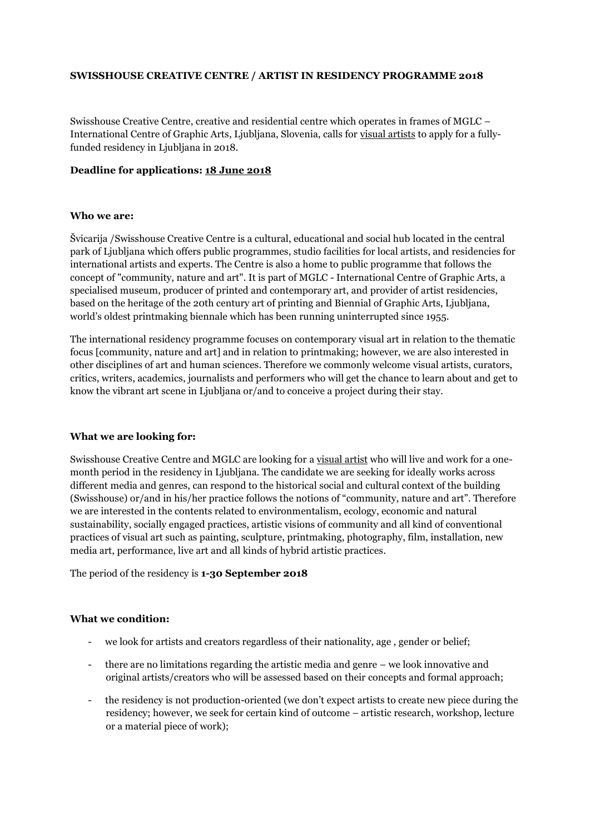# **SWISSHOUSE CREATIVE CENTRE / ARTIST IN RESIDENCY PROGRAMME 2018**

Swisshouse Creative Centre, creative and residential centre which operates in frames of MGLC – International Centre of Graphic Arts, Ljubljana, Slovenia, calls for visual artists to apply for a fullyfunded residency in Ljubljana in 2018.

### **Deadline for applications: 18 June 2018**

## **Who we are:**

Švicarija /Swisshouse Creative Centre is a cultural, educational and social hub located in the central park of Ljubljana which offers public programmes, studio facilities for local artists, and residencies for international artists and experts. The Centre is also a home to public programme that follows the concept of "community, nature and art". It is part of MGLC - International Centre of Graphic Arts, a specialised museum, producer of printed and contemporary art, and provider of artist residencies, based on the heritage of the 20th century art of printing and Biennial of Graphic Arts, Ljubljana, world's oldest printmaking biennale which has been running uninterrupted since 1955.

The international residency programme focuses on contemporary visual art in relation to the thematic focus [community, nature and art] and in relation to printmaking; however, we are also interested in other disciplines of art and human sciences. Therefore we commonly welcome visual artists, curators, critics, writers, academics, journalists and performers who will get the chance to learn about and get to know the vibrant art scene in Ljubljana or/and to conceive a project during their stay.

#### **What we are looking for:**

Swisshouse Creative Centre and MGLC are looking for a visual artist who will live and work for a onemonth period in the residency in Ljubljana. The candidate we are seeking for ideally works across different media and genres, can respond to the historical social and cultural context of the building (Swisshouse) or/and in his/her practice follows the notions of "community, nature and art". Therefore we are interested in the contents related to environmentalism, ecology, economic and natural sustainability, socially engaged practices, artistic visions of community and all kind of conventional practices of visual art such as painting, sculpture, printmaking, photography, film, installation, new media art, performance, live art and all kinds of hybrid artistic practices.

The period of the residency is **1-30 September 2018**

#### **What we condition:**

- we look for artists and creators regardless of their nationality, age , gender or belief;
- there are no limitations regarding the artistic media and genre we look innovative and original artists/creators who will be assessed based on their concepts and formal approach;
- the residency is not production-oriented (we don't expect artists to create new piece during the residency; however, we seek for certain kind of outcome – artistic research, workshop, lecture or a material piece of work);